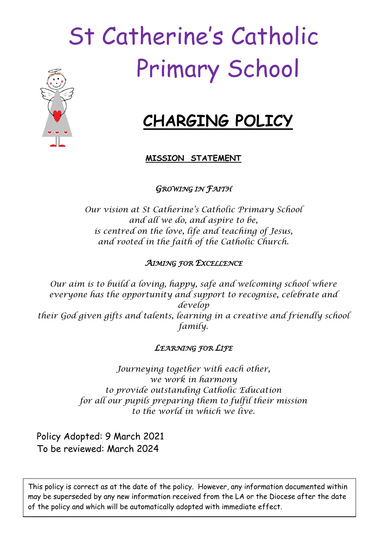# St Catherine's Catholic Primary School



# **CHARGING POLICY**

## **MISSION STATEMENT**

*GROWING IN FAITH* 

*Our vision at St Catherine's Catholic Primary School and all we do, and aspire to be, is centred on the love, life and teaching of Jesus, and rooted in the faith of the Catholic Church.*

## *AIMING FOR EXCELLENCE*

*Our aim is to build a loving, happy, safe and welcoming school where everyone has the opportunity and support to recognise, celebrate and develop their God given gifts and talents, learning in a creative and friendly school family.*

# *LEARNING FOR LIFE*

*Journeying together with each other, we work in harmony to provide outstanding Catholic Education for all our pupils preparing them to fulfil their mission to the world in which we live.*

Policy Adopted: 9 March 2021 To be reviewed: March 2024

This policy is correct as at the date of the policy. However, any information documented within may be superseded by any new information received from the LA or the Diocese after the date of the policy and which will be automatically adopted with immediate effect.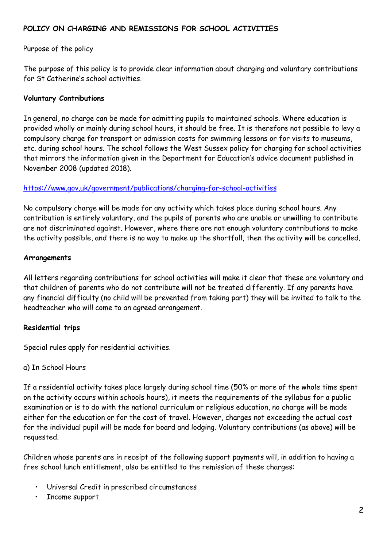#### **POLICY ON CHARGING AND REMISSIONS FOR SCHOOL ACTIVITIES**

#### Purpose of the policy

The purpose of this policy is to provide clear information about charging and voluntary contributions for St Catherine's school activities.

#### **Voluntary Contributions**

In general, no charge can be made for admitting pupils to maintained schools. Where education is provided wholly or mainly during school hours, it should be free. It is therefore not possible to levy a compulsory charge for transport or admission costs for swimming lessons or for visits to museums, etc. during school hours. The school follows the West Sussex policy for charging for school activities that mirrors the information given in the Department for Education's advice document published in November 2008 (updated 2018).

#### <https://www.gov.uk/government/publications/charging-for-school-activities>

No compulsory charge will be made for any activity which takes place during school hours. Any contribution is entirely voluntary, and the pupils of parents who are unable or unwilling to contribute are not discriminated against. However, where there are not enough voluntary contributions to make the activity possible, and there is no way to make up the shortfall, then the activity will be cancelled.

#### **Arrangements**

All letters regarding contributions for school activities will make it clear that these are voluntary and that children of parents who do not contribute will not be treated differently. If any parents have any financial difficulty (no child will be prevented from taking part) they will be invited to talk to the headteacher who will come to an agreed arrangement.

#### **Residential trips**

Special rules apply for residential activities.

#### a) In School Hours

If a residential activity takes place largely during school time (50% or more of the whole time spent on the activity occurs within schools hours), it meets the requirements of the syllabus for a public examination or is to do with the national curriculum or religious education, no charge will be made either for the education or for the cost of travel. However, charges not exceeding the actual cost for the individual pupil will be made for board and lodging. Voluntary contributions (as above) will be requested.

Children whose parents are in receipt of the following support payments will, in addition to having a free school lunch entitlement, also be entitled to the remission of these charges:

- Universal Credit in prescribed circumstances
- Income support